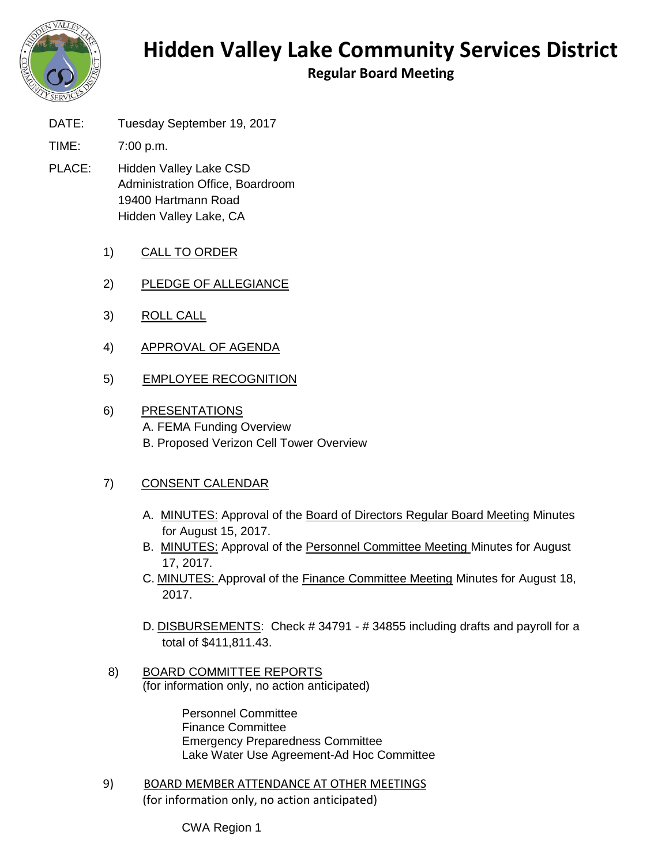

## **Hidden Valley Lake Community Services District**

**Regular Board Meeting**

DATE: Tuesday September 19, 2017

TIME: 7:00 p.m.

- PLACE: Hidden Valley Lake CSD Administration Office, Boardroom 19400 Hartmann Road Hidden Valley Lake, CA
	- 1) CALL TO ORDER
	- 2) PLEDGE OF ALLEGIANCE
	- 3) ROLL CALL
	- 4) APPROVAL OF AGENDA
	- 5) EMPLOYEE RECOGNITION
	- 6) PRESENTATIONS A. FEMA Funding Overview B. Proposed Verizon Cell Tower Overview

## 7) CONSENT CALENDAR

- A. MINUTES: Approval of the Board of Directors Regular Board Meeting Minutes for August 15, 2017.
- B. MINUTES: Approval of the Personnel Committee Meeting Minutes for August 17, 2017.
- C. MINUTES: Approval of the Finance Committee Meeting Minutes for August 18, 2017.
- D. DISBURSEMENTS: Check # 34791 # 34855 including drafts and payroll for a total of \$411,811.43.
- 8) BOARD COMMITTEE REPORTS (for information only, no action anticipated)

Personnel Committee Finance Committee Emergency Preparedness Committee Lake Water Use Agreement-Ad Hoc Committee

9) BOARD MEMBER ATTENDANCE AT OTHER MEETINGS (for information only, no action anticipated)

CWA Region 1